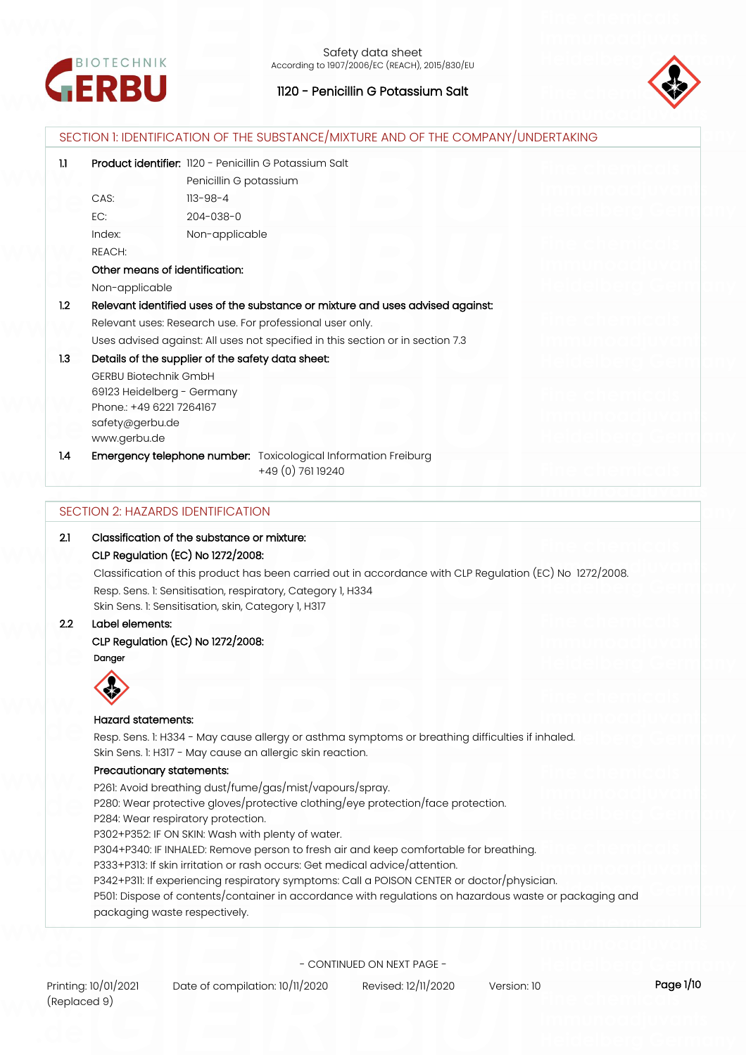



| 1.1              | Product identifier: 1120 - Penicillin G Potassium Salt                                                                                     |                                                                                                  |  |  |
|------------------|--------------------------------------------------------------------------------------------------------------------------------------------|--------------------------------------------------------------------------------------------------|--|--|
|                  | Penicillin G potassium                                                                                                                     |                                                                                                  |  |  |
|                  | CAS:<br>$113 - 98 - 4$                                                                                                                     |                                                                                                  |  |  |
|                  | EC:<br>204-038-0                                                                                                                           |                                                                                                  |  |  |
|                  | Non-applicable<br>Index:                                                                                                                   |                                                                                                  |  |  |
|                  | REACH:                                                                                                                                     |                                                                                                  |  |  |
|                  | Other means of identification:                                                                                                             |                                                                                                  |  |  |
|                  | Non-applicable                                                                                                                             |                                                                                                  |  |  |
| 1.2              | Relevant identified uses of the substance or mixture and uses advised against:                                                             |                                                                                                  |  |  |
|                  | Relevant uses: Research use. For professional user only.                                                                                   |                                                                                                  |  |  |
|                  | Uses advised against: All uses not specified in this section or in section 7.3                                                             |                                                                                                  |  |  |
| 1.3              | Details of the supplier of the safety data sheet:                                                                                          |                                                                                                  |  |  |
|                  | <b>GERBU Biotechnik GmbH</b>                                                                                                               |                                                                                                  |  |  |
|                  | 69123 Heidelberg - Germany                                                                                                                 |                                                                                                  |  |  |
|                  | Phone.: +49 6221 7264167                                                                                                                   |                                                                                                  |  |  |
|                  | safety@gerbu.de                                                                                                                            |                                                                                                  |  |  |
|                  | www.gerbu.de                                                                                                                               |                                                                                                  |  |  |
| 1.4              | Emergency telephone number: Toxicological Information Freiburg<br>+49 (0) 761 19240                                                        |                                                                                                  |  |  |
|                  |                                                                                                                                            |                                                                                                  |  |  |
| 2.1              | <b>SECTION 2: HAZARDS IDENTIFICATION</b><br>Classification of the substance or mixture:                                                    |                                                                                                  |  |  |
|                  | CLP Regulation (EC) No 1272/2008:                                                                                                          |                                                                                                  |  |  |
|                  |                                                                                                                                            |                                                                                                  |  |  |
|                  | Classification of this product has been carried out in accordance with CLP Regulation (EC) No 1272/2008.                                   |                                                                                                  |  |  |
|                  |                                                                                                                                            |                                                                                                  |  |  |
|                  | Resp. Sens. 1: Sensitisation, respiratory, Category 1, H334                                                                                |                                                                                                  |  |  |
|                  | Skin Sens. 1: Sensitisation, skin, Category 1, H317<br>Label elements:                                                                     |                                                                                                  |  |  |
|                  |                                                                                                                                            |                                                                                                  |  |  |
|                  | <b>CLP Regulation (EC) No 1272/2008:</b><br>Danger                                                                                         |                                                                                                  |  |  |
|                  | ⌒                                                                                                                                          |                                                                                                  |  |  |
|                  |                                                                                                                                            |                                                                                                  |  |  |
|                  |                                                                                                                                            |                                                                                                  |  |  |
|                  | <b>Hazard statements:</b>                                                                                                                  |                                                                                                  |  |  |
|                  |                                                                                                                                            | Resp. Sens. 1: H334 - May cause allergy or asthma symptoms or breathing difficulties if inhaled. |  |  |
|                  | Skin Sens. 1: H317 - May cause an allergic skin reaction.                                                                                  |                                                                                                  |  |  |
| $2.2\phantom{0}$ | Precautionary statements:                                                                                                                  |                                                                                                  |  |  |
|                  | P261: Avoid breathing dust/fume/gas/mist/vapours/spray.                                                                                    |                                                                                                  |  |  |
|                  | P280: Wear protective gloves/protective clothing/eye protection/face protection.                                                           |                                                                                                  |  |  |
|                  | P284: Wear respiratory protection.                                                                                                         |                                                                                                  |  |  |
|                  | P302+P352: IF ON SKIN: Wash with plenty of water.<br>P304+P340: IF INHALED: Remove person to fresh air and keep comfortable for breathing. |                                                                                                  |  |  |

P342+P311: If experiencing respiratory symptoms: Call a POISON CENTER or doctor/physician.

P501: Dispose of contents/container in accordance with regulations on hazardous waste or packaging and packaging waste respectively.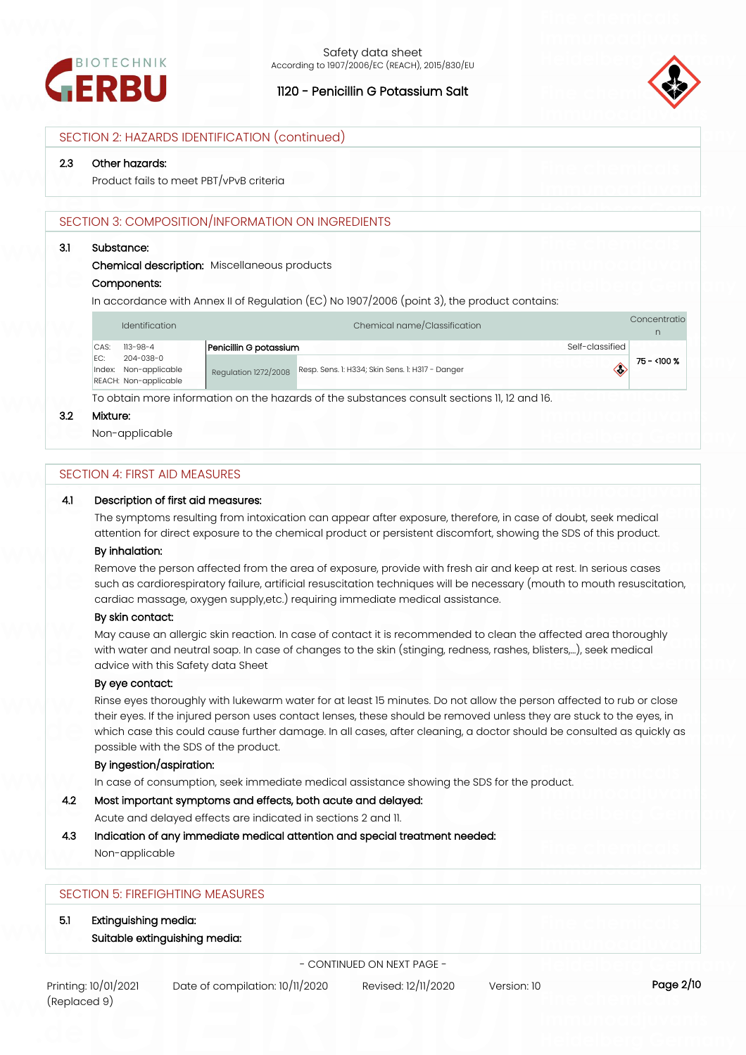



## SECTION 2: HAZARDS IDENTIFICATION (continued)

#### **2.3 Other hazards:**

Product fails to meet PBT/vPvB criteria

## SECTION 3: COMPOSITION/INFORMATION ON INGREDIENTS

#### **3.1 Substance:**

**Chemical description:** Miscellaneous products

#### **Components:**

In accordance with Annex II of Regulation (EC) No 1907/2006 (point 3), the product contains:

|      | Identification                     |                             | Chemical name/Classification                                                                |                 | Concentratio |
|------|------------------------------------|-----------------------------|---------------------------------------------------------------------------------------------|-----------------|--------------|
| CAS: | $113 - 98 - 4$                     | Penicillin G potassium      |                                                                                             | Self-classified |              |
| IFC: | 204-038-0<br>Index: Non-applicable | <b>Requlation 1272/2008</b> | Resp. Sens. 1: H334; Skin Sens. 1: H317 - Danger                                            | ◇               | 75 - <100 %  |
|      | REACH: Non-applicable              |                             | To obtain more information on the hoperde of the cubeteneses consult costions 11, 10 and 10 |                 |              |

To obtain more information on the hazards of the substances consult sections 11, 12 and 16.

#### **3.2 Mixture:**

Non-applicable

## SECTION 4: FIRST AID MEASURES

#### **4.1 Description of first aid measures:**

The symptoms resulting from intoxication can appear after exposure, therefore, in case of doubt, seek medical attention for direct exposure to the chemical product or persistent discomfort, showing the SDS of this product.

#### **By inhalation:**

Remove the person affected from the area of exposure, provide with fresh air and keep at rest. In serious cases such as cardiorespiratory failure, artificial resuscitation techniques will be necessary (mouth to mouth resuscitation, cardiac massage, oxygen supply,etc.) requiring immediate medical assistance.

#### **By skin contact:**

May cause an allergic skin reaction. In case of contact it is recommended to clean the affected area thoroughly with water and neutral soap. In case of changes to the skin (stinging, redness, rashes, blisters,…), seek medical advice with this Safety data Sheet

## **By eye contact:**

Rinse eyes thoroughly with lukewarm water for at least 15 minutes. Do not allow the person affected to rub or close their eyes. If the injured person uses contact lenses, these should be removed unless they are stuck to the eyes, in which case this could cause further damage. In all cases, after cleaning, a doctor should be consulted as quickly as possible with the SDS of the product.

#### **By ingestion/aspiration:**

In case of consumption, seek immediate medical assistance showing the SDS for the product.

## **4.2 Most important symptoms and effects, both acute and delayed:**

Acute and delayed effects are indicated in sections 2 and 11.

## **4.3 Indication of any immediate medical attention and special treatment needed:**

Non-applicable

# SECTION 5: FIREFIGHTING MEASURES

- **5.1 Extinguishing media:**
	- **Suitable extinguishing media:**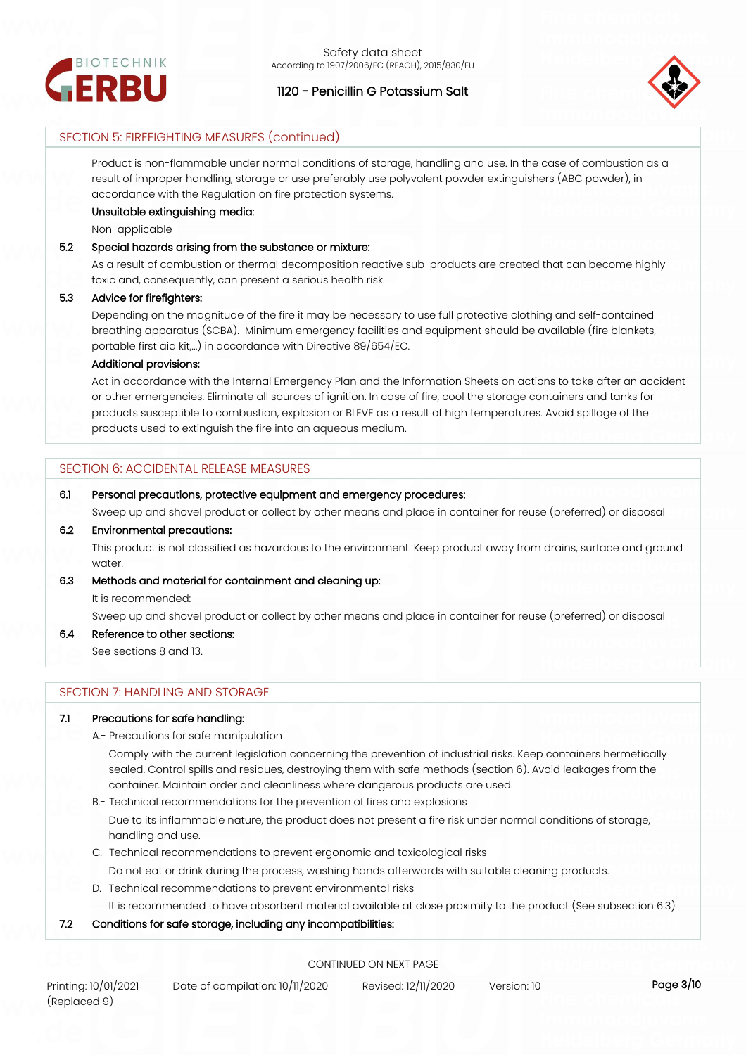



## SECTION 5: FIREFIGHTING MEASURES (continued)

Product is non-flammable under normal conditions of storage, handling and use. In the case of combustion as a result of improper handling, storage or use preferably use polyvalent powder extinguishers (ABC powder), in accordance with the Regulation on fire protection systems.

## **Unsuitable extinguishing media:**

Non-applicable

## **5.2 Special hazards arising from the substance or mixture:**

As a result of combustion or thermal decomposition reactive sub-products are created that can become highly toxic and, consequently, can present a serious health risk.

#### **5.3 Advice for firefighters:**

Depending on the magnitude of the fire it may be necessary to use full protective clothing and self-contained breathing apparatus (SCBA). Minimum emergency facilities and equipment should be available (fire blankets, portable first aid kit,...) in accordance with Directive 89/654/EC.

#### **Additional provisions:**

Act in accordance with the Internal Emergency Plan and the Information Sheets on actions to take after an accident or other emergencies. Eliminate all sources of ignition. In case of fire, cool the storage containers and tanks for products susceptible to combustion, explosion or BLEVE as a result of high temperatures. Avoid spillage of the products used to extinguish the fire into an aqueous medium.

## SECTION 6: ACCIDENTAL RELEASE MEASURES

#### **6.1 Personal precautions, protective equipment and emergency procedures:**

Sweep up and shovel product or collect by other means and place in container for reuse (preferred) or disposal

## **6.2 Environmental precautions:**

This product is not classified as hazardous to the environment. Keep product away from drains, surface and ground water.

## **6.3 Methods and material for containment and cleaning up:**

It is recommended:

Sweep up and shovel product or collect by other means and place in container for reuse (preferred) or disposal

## **6.4 Reference to other sections:**

See sections 8 and 13.

## SECTION 7: HANDLING AND STORAGE

## **7.1 Precautions for safe handling:**

A.- Precautions for safe manipulation

Comply with the current legislation concerning the prevention of industrial risks. Keep containers hermetically sealed. Control spills and residues, destroying them with safe methods (section 6). Avoid leakages from the container. Maintain order and cleanliness where dangerous products are used.

B.- Technical recommendations for the prevention of fires and explosions

Due to its inflammable nature, the product does not present a fire risk under normal conditions of storage, handling and use.

C.- Technical recommendations to prevent ergonomic and toxicological risks

Do not eat or drink during the process, washing hands afterwards with suitable cleaning products.

D.- Technical recommendations to prevent environmental risks

It is recommended to have absorbent material available at close proximity to the product (See subsection 6.3)

## **7.2 Conditions for safe storage, including any incompatibilities:**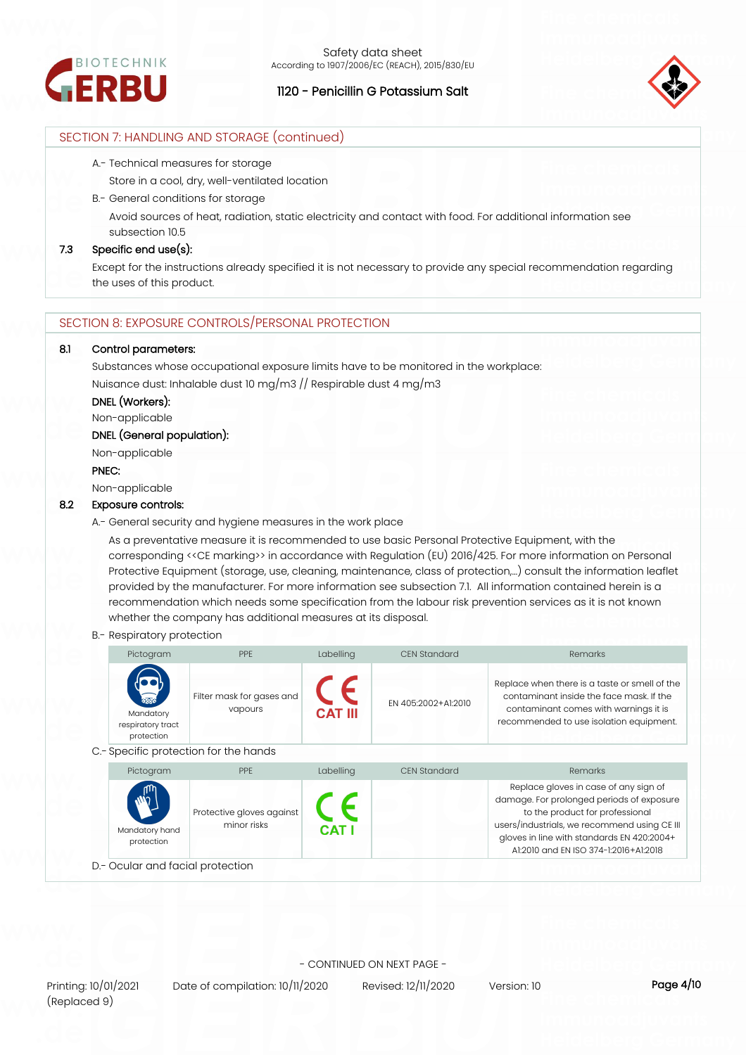



# SECTION 7: HANDLING AND STORAGE (continued)

A.- Technical measures for storage

Store in a cool, dry, well-ventilated location

- B.- General conditions for storage
	- Avoid sources of heat, radiation, static electricity and contact with food. For additional information see subsection 10.5

## **7.3 Specific end use(s):**

Except for the instructions already specified it is not necessary to provide any special recommendation regarding the uses of this product.

# SECTION 8: EXPOSURE CONTROLS/PERSONAL PROTECTION

## **8.1 Control parameters:**

Substances whose occupational exposure limits have to be monitored in the workplace: Nuisance dust: Inhalable dust 10 mg/m3 // Respirable dust 4 mg/m3

## **DNEL (Workers):**

Non-applicable

# **DNEL (General population):**

Non-applicable

#### **PNEC:**

Non-applicable

## **8.2 Exposure controls:**

A.- General security and hygiene measures in the work place

As a preventative measure it is recommended to use basic Personal Protective Equipment, with the corresponding <<CE marking>> in accordance with Regulation (EU) 2016/425. For more information on Personal Protective Equipment (storage, use, cleaning, maintenance, class of protection,…) consult the information leaflet provided by the manufacturer. For more information see subsection 7.1. All information contained herein is a recommendation which needs some specification from the labour risk prevention services as it is not known whether the company has additional measures at its disposal.

#### B.- Respiratory protection

| Pictogram                                                    | <b>PPF</b>                            | Labelling      | <b>CEN Standard</b> | Remarks                                                                                                                                                                       |
|--------------------------------------------------------------|---------------------------------------|----------------|---------------------|-------------------------------------------------------------------------------------------------------------------------------------------------------------------------------|
| $\mathbf{R}$<br>Mandatory<br>respiratory tract<br>protection | Filter mask for gases and<br>vapours  | <b>CAT III</b> | FN 405:2002+A1:2010 | Replace when there is a taste or smell of the<br>contaminant inside the face mask. If the<br>contaminant comes with warnings it is<br>recommended to use isolation equipment. |
|                                                              | C.- Specific protection for the hands |                |                     |                                                                                                                                                                               |
| Pictogram                                                    | <b>PPE</b>                            | Labelling      | <b>CEN Standard</b> | Remarks                                                                                                                                                                       |
| AUT                                                          |                                       |                |                     | Replace gloves in case of any sign of<br>الفادة والمائد فالمناوية القائلة فالمتابعة فالمتحادث والمنافر فالمنافذ والمستحدث والمتحادين والمناور                                 |

Mandatory hand protection Protective gloves against minor risks nage. For prolonged periods of exposure to the product for professional users/industrials, we recommend using CE III gloves in line with standards EN 420:2004+ A1:2010 and EN ISO 374-1:2016+A1:2018

D.- Ocular and facial protection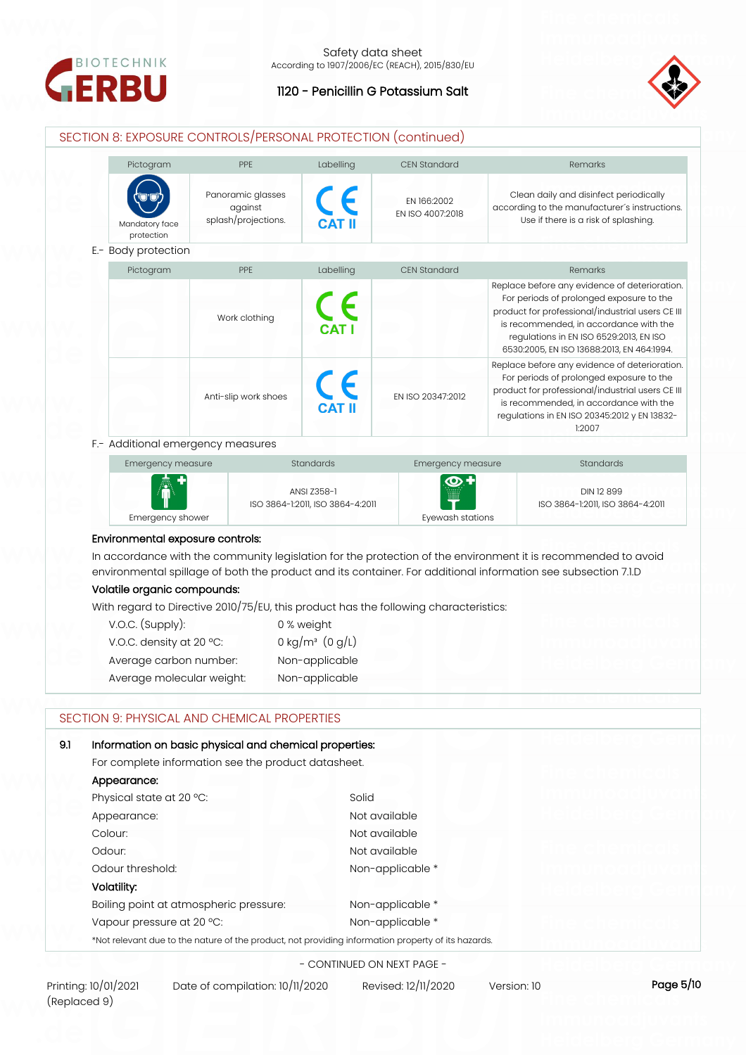



# SECTION 8: EXPOSURE CONTROLS/PERSONAL PROTECTION (continued)



| Emergency measure   | <b>Standards</b>                                | Emergency measure   | <b>Standards</b>                               |
|---------------------|-------------------------------------------------|---------------------|------------------------------------------------|
| $\sqrt{\mathbf{r}}$ | ANSI Z358-1<br>ISO 3864-1:2011, ISO 3864-4:2011 | $\mathbf{Q}$ +<br>▦ | DIN 12 899<br>ISO 3864-1:2011, ISO 3864-4:2011 |
| Emergency shower    |                                                 | Evewash stations    |                                                |

#### **Environmental exposure controls:**

In accordance with the community legislation for the protection of the environment it is recommended to avoid environmental spillage of both the product and its container. For additional information see subsection 7.1.D

## **Volatile organic compounds:**

With regard to Directive 2010/75/EU, this product has the following characteristics:

| $V.O.C.$ (Supply):        | 0 % weight                    |
|---------------------------|-------------------------------|
| V.O.C. density at 20 °C:  | 0 kg/m <sup>3</sup> $(0 g/L)$ |
| Average carbon number:    | Non-applicable                |
| Average molecular weight: | Non-applicable                |

# SECTION 9: PHYSICAL AND CHEMICAL PROPERTIES

| 9.1 | Information on basic physical and chemical properties:                                             |                  |  |
|-----|----------------------------------------------------------------------------------------------------|------------------|--|
|     | For complete information see the product datasheet.                                                |                  |  |
|     | Appearance:                                                                                        |                  |  |
|     | Physical state at 20 °C:                                                                           | Solid            |  |
|     | Appearance:                                                                                        | Not available    |  |
|     | Colour:                                                                                            | Not available    |  |
|     | Odour:                                                                                             | Not available    |  |
|     | Odour threshold:                                                                                   | Non-applicable * |  |
|     | Volatility:                                                                                        |                  |  |
|     | Boiling point at atmospheric pressure:                                                             | Non-applicable * |  |
|     | Vapour pressure at 20 °C:                                                                          | Non-applicable * |  |
|     | *Not relevant due to the nature of the product, not providing information property of its hazards. |                  |  |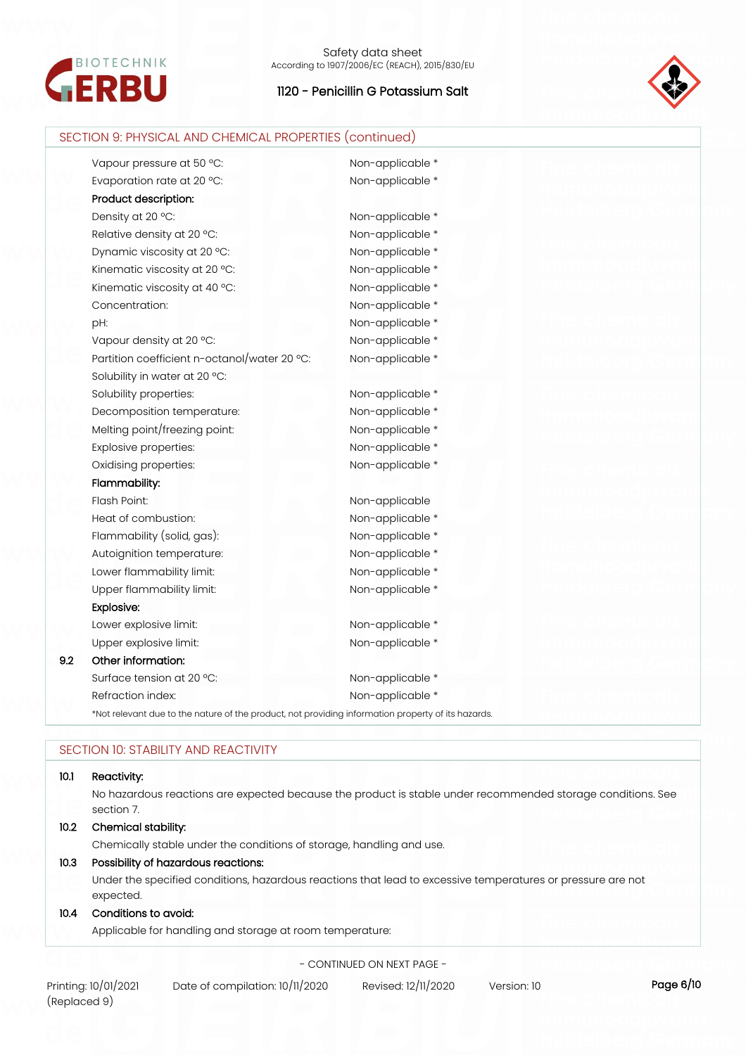



| Vapour pressure at 50 °C:                    | Non-applicable * |  |
|----------------------------------------------|------------------|--|
| Evaporation rate at 20 °C:                   | Non-applicable * |  |
| Product description:                         |                  |  |
| Density at 20 °C:                            | Non-applicable * |  |
| Relative density at 20 °C:                   | Non-applicable * |  |
| Dynamic viscosity at 20 °C:                  | Non-applicable * |  |
|                                              |                  |  |
| Kinematic viscosity at 20 °C:                | Non-applicable * |  |
| Kinematic viscosity at 40 °C:                | Non-applicable * |  |
| Concentration:                               | Non-applicable * |  |
| pH:                                          | Non-applicable * |  |
| Vapour density at 20 °C:                     | Non-applicable * |  |
| Partition coefficient n-octanol/water 20 °C: | Non-applicable * |  |
| Solubility in water at 20 °C:                |                  |  |
| Solubility properties:                       | Non-applicable * |  |
| Decomposition temperature:                   | Non-applicable * |  |
| Melting point/freezing point:                | Non-applicable * |  |
| Explosive properties:                        | Non-applicable * |  |
| Oxidising properties:                        | Non-applicable * |  |
| Flammability:                                |                  |  |
| Flash Point:                                 | Non-applicable   |  |
| Heat of combustion:                          | Non-applicable * |  |
| Flammability (solid, gas):                   | Non-applicable * |  |
| Autoignition temperature:                    | Non-applicable * |  |
| Lower flammability limit:                    | Non-applicable * |  |
| Upper flammability limit:                    | Non-applicable * |  |
| Explosive:                                   |                  |  |
| Lower explosive limit:                       | Non-applicable * |  |
| Upper explosive limit:                       | Non-applicable * |  |
| Other information:<br>9.2                    |                  |  |
| Surface tension at 20 °C:                    | Non-applicable * |  |
| Refraction index:                            | Non-applicable * |  |

# SECTION 10: STABILITY AND REACTIVITY

## **10.1 Reactivity:**

No hazardous reactions are expected because the product is stable under recommended storage conditions. See section 7.

## **10.2 Chemical stability:**

Chemically stable under the conditions of storage, handling and use.

## **10.3 Possibility of hazardous reactions:**

Under the specified conditions, hazardous reactions that lead to excessive temperatures or pressure are not expected.

## **10.4 Conditions to avoid:**

Applicable for handling and storage at room temperature:

- CONTINUED ON NEXT PAGE -

Printing: 10/01/2021 Date of compilation: 10/11/2020 Revised: 12/11/2020 Version: 10 **Page 6/10**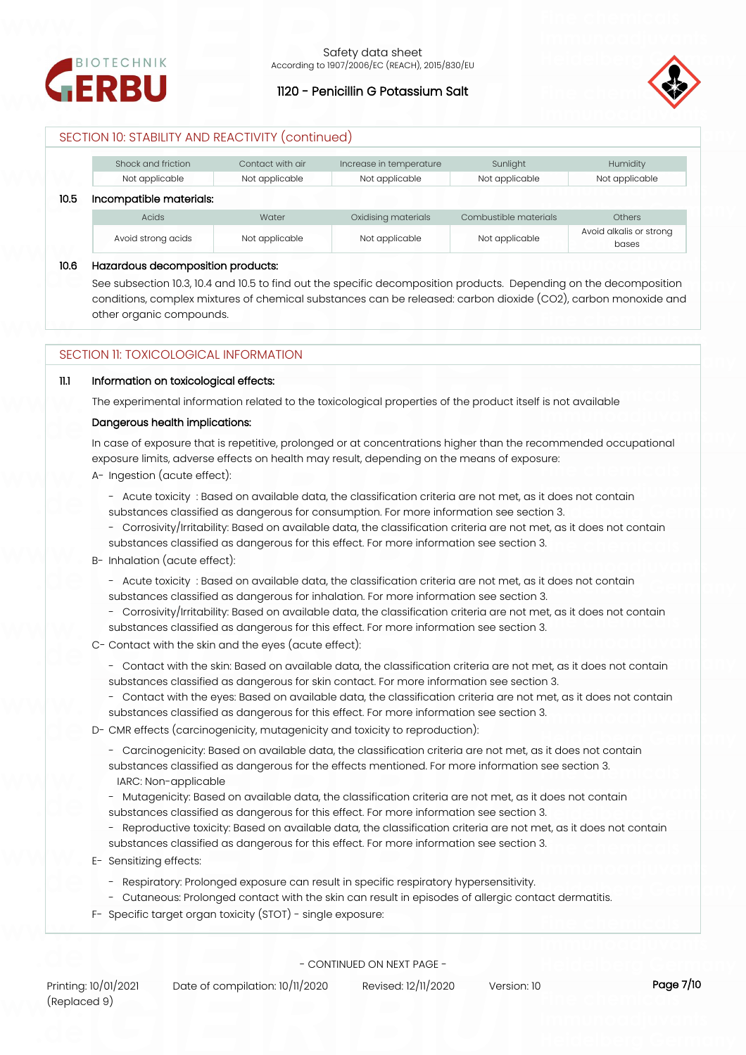



# SECTION 10: STABILITY AND REACTIVITY (continued)

|      | Shock and friction      | Contact with air | Increase in temperature | Sunlight              | Humidity                         |
|------|-------------------------|------------------|-------------------------|-----------------------|----------------------------------|
|      | Not applicable          | Not applicable   | Not applicable          | Not applicable        | Not applicable                   |
| 10.5 | Incompatible materials: |                  |                         |                       |                                  |
|      | <b>Acids</b>            | Water            | Oxidising materials     | Combustible materials | <b>Others</b>                    |
|      | Avoid strong acids      | Not applicable   | Not applicable          | Not applicable        | Avoid alkalis or strong<br>bases |

## **10.6 Hazardous decomposition products:**

See subsection 10.3, 10.4 and 10.5 to find out the specific decomposition products. Depending on the decomposition conditions, complex mixtures of chemical substances can be released: carbon dioxide (CO2), carbon monoxide and other organic compounds.

## SECTION 11: TOXICOLOGICAL INFORMATION

## **11.1 Information on toxicological effects:**

The experimental information related to the toxicological properties of the product itself is not available

## **Dangerous health implications:**

In case of exposure that is repetitive, prolonged or at concentrations higher than the recommended occupational exposure limits, adverse effects on health may result, depending on the means of exposure:

- A- Ingestion (acute effect):
	- Acute toxicity : Based on available data, the classification criteria are not met, as it does not contain substances classified as dangerous for consumption. For more information see section 3.
	- Corrosivity/Irritability: Based on available data, the classification criteria are not met, as it does not contain substances classified as dangerous for this effect. For more information see section 3.
- B- Inhalation (acute effect):
	- Acute toxicity : Based on available data, the classification criteria are not met, as it does not contain substances classified as dangerous for inhalation. For more information see section 3.
	- Corrosivity/Irritability: Based on available data, the classification criteria are not met, as it does not contain substances classified as dangerous for this effect. For more information see section 3.
- C- Contact with the skin and the eyes (acute effect):
	- Contact with the skin: Based on available data, the classification criteria are not met, as it does not contain substances classified as dangerous for skin contact. For more information see section 3.
	- Contact with the eyes: Based on available data, the classification criteria are not met, as it does not contain substances classified as dangerous for this effect. For more information see section 3.
- D- CMR effects (carcinogenicity, mutagenicity and toxicity to reproduction):
	- Carcinogenicity: Based on available data, the classification criteria are not met, as it does not contain substances classified as dangerous for the effects mentioned. For more information see section 3. IARC: Non-applicable
	- Mutagenicity: Based on available data, the classification criteria are not met, as it does not contain
	- substances classified as dangerous for this effect. For more information see section 3.
	- Reproductive toxicity: Based on available data, the classification criteria are not met, as it does not contain substances classified as dangerous for this effect. For more information see section 3.
- E- Sensitizing effects:
	- Respiratory: Prolonged exposure can result in specific respiratory hypersensitivity.
	- Cutaneous: Prolonged contact with the skin can result in episodes of allergic contact dermatitis.
- F- Specific target organ toxicity (STOT) single exposure: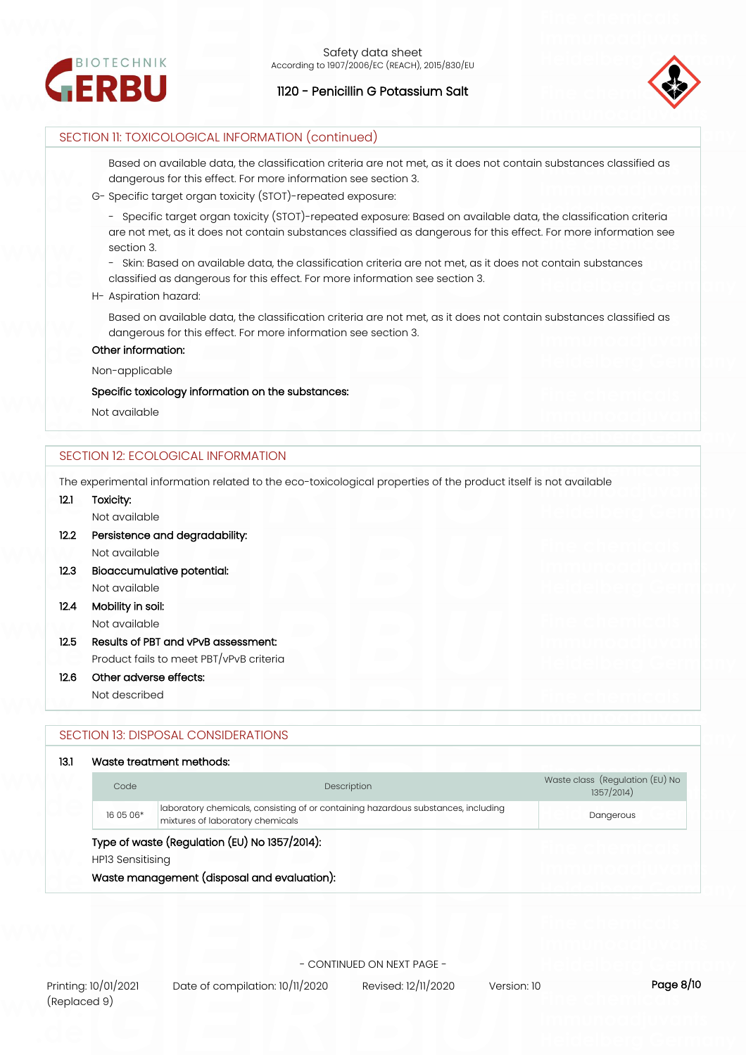



## SECTION 11: TOXICOLOGICAL INFORMATION (continued)

Based on available data, the classification criteria are not met, as it does not contain substances classified as dangerous for this effect. For more information see section 3.

G- Specific target organ toxicity (STOT)-repeated exposure:

- Specific target organ toxicity (STOT)-repeated exposure: Based on available data, the classification criteria are not met, as it does not contain substances classified as dangerous for this effect. For more information see section 3.

- Skin: Based on available data, the classification criteria are not met, as it does not contain substances classified as dangerous for this effect. For more information see section 3.

#### H- Aspiration hazard:

Based on available data, the classification criteria are not met, as it does not contain substances classified as dangerous for this effect. For more information see section 3.

## **Other information:**

Non-applicable

## **Specific toxicology information on the substances:**

Not available

## SECTION 12: ECOLOGICAL INFORMATION

The experimental information related to the eco-toxicological properties of the product itself is not available

## **12.1 Toxicity:**

Not available

- **12.2 Persistence and degradability:** Not available
- **12.3 Bioaccumulative potential:** Not available
- **12.4 Mobility in soil:** Not available
- **12.5 Results of PBT and vPvB assessment:** Product fails to meet PBT/vPvB criteria
- **12.6 Other adverse effects:**

Not described

## SECTION 13: DISPOSAL CONSIDERATIONS

## **13.1 Waste treatment methods:**

| Code             | Description                                                                                                           | Waste class (Regulation (EU) No<br>1357/2014) |  |  |
|------------------|-----------------------------------------------------------------------------------------------------------------------|-----------------------------------------------|--|--|
| 16 05 06*        | laboratory chemicals, consisting of or containing hazardous substances, including<br>mixtures of laboratory chemicals | Dangerous                                     |  |  |
| HP13 Sensitising | Type of waste (Regulation (EU) No 1357/2014):<br>Waste management (disposal and evaluation):                          |                                               |  |  |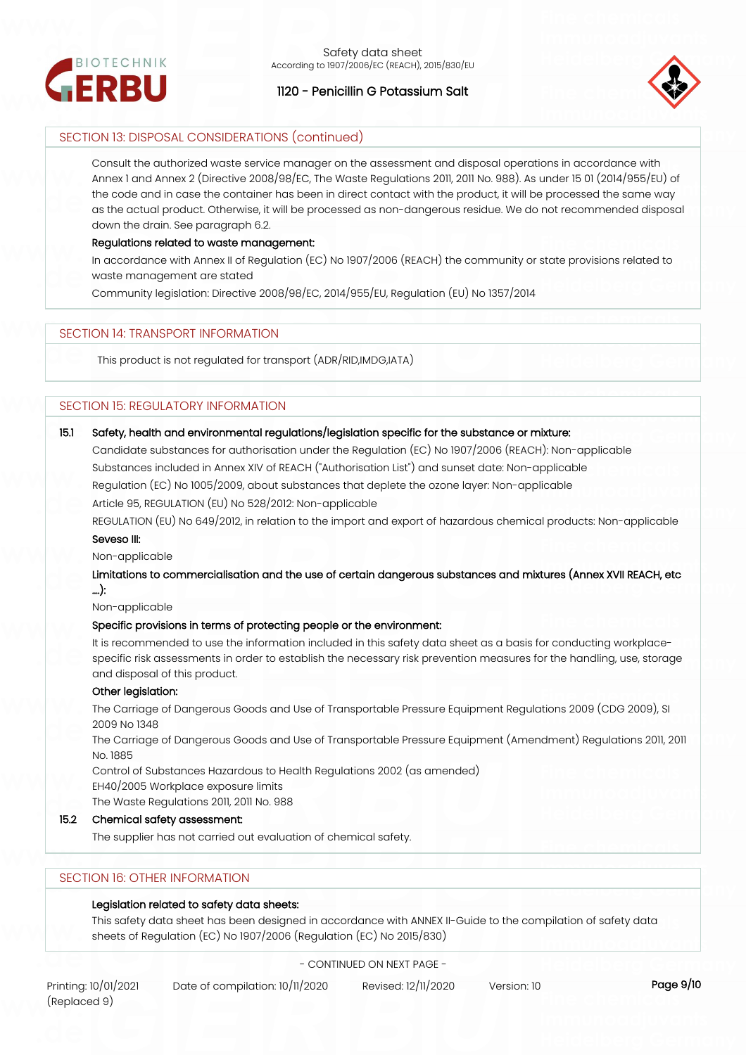



# SECTION 13: DISPOSAL CONSIDERATIONS (continued)

Consult the authorized waste service manager on the assessment and disposal operations in accordance with Annex 1 and Annex 2 (Directive 2008/98/EC, The Waste Regulations 2011, 2011 No. 988). As under 15 01 (2014/955/EU) of the code and in case the container has been in direct contact with the product, it will be processed the same way as the actual product. Otherwise, it will be processed as non-dangerous residue. We do not recommended disposal down the drain. See paragraph 6.2.

## **Regulations related to waste management:**

In accordance with Annex II of Regulation (EC) No 1907/2006 (REACH) the community or state provisions related to waste management are stated

Community legislation: Directive 2008/98/EC, 2014/955/EU, Regulation (EU) No 1357/2014

## SECTION 14: TRANSPORT INFORMATION

This product is not regulated for transport (ADR/RID,IMDG,IATA)

# SECTION 15: REGULATORY INFORMATION

## **15.1 Safety, health and environmental regulations/legislation specific for the substance or mixture:**

Candidate substances for authorisation under the Regulation (EC) No 1907/2006 (REACH): Non-applicable Substances included in Annex XIV of REACH ("Authorisation List") and sunset date: Non-applicable Regulation (EC) No 1005/2009, about substances that deplete the ozone layer: Non-applicable Article 95, REGULATION (EU) No 528/2012: Non-applicable

REGULATION (EU) No 649/2012, in relation to the import and export of hazardous chemical products: Non-applicable **Seveso III:**

Non-applicable

**Limitations to commercialisation and the use of certain dangerous substances and mixtures (Annex XVII REACH, etc ….):**

Non-applicable

#### **Specific provisions in terms of protecting people or the environment:**

It is recommended to use the information included in this safety data sheet as a basis for conducting workplacespecific risk assessments in order to establish the necessary risk prevention measures for the handling, use, storage and disposal of this product.

## **Other legislation:**

The Carriage of Dangerous Goods and Use of Transportable Pressure Equipment Regulations 2009 (CDG 2009), SI 2009 No 1348

The Carriage of Dangerous Goods and Use of Transportable Pressure Equipment (Amendment) Regulations 2011, 2011 No. 1885

Control of Substances Hazardous to Health Regulations 2002 (as amended)

EH40/2005 Workplace exposure limits

The Waste Regulations 2011, 2011 No. 988

## **15.2 Chemical safety assessment:**

The supplier has not carried out evaluation of chemical safety.

# SECTION 16: OTHER INFORMATION

## **Legislation related to safety data sheets:**

This safety data sheet has been designed in accordance with ANNEX II-Guide to the compilation of safety data sheets of Regulation (EC) No 1907/2006 (Regulation (EC) No 2015/830)